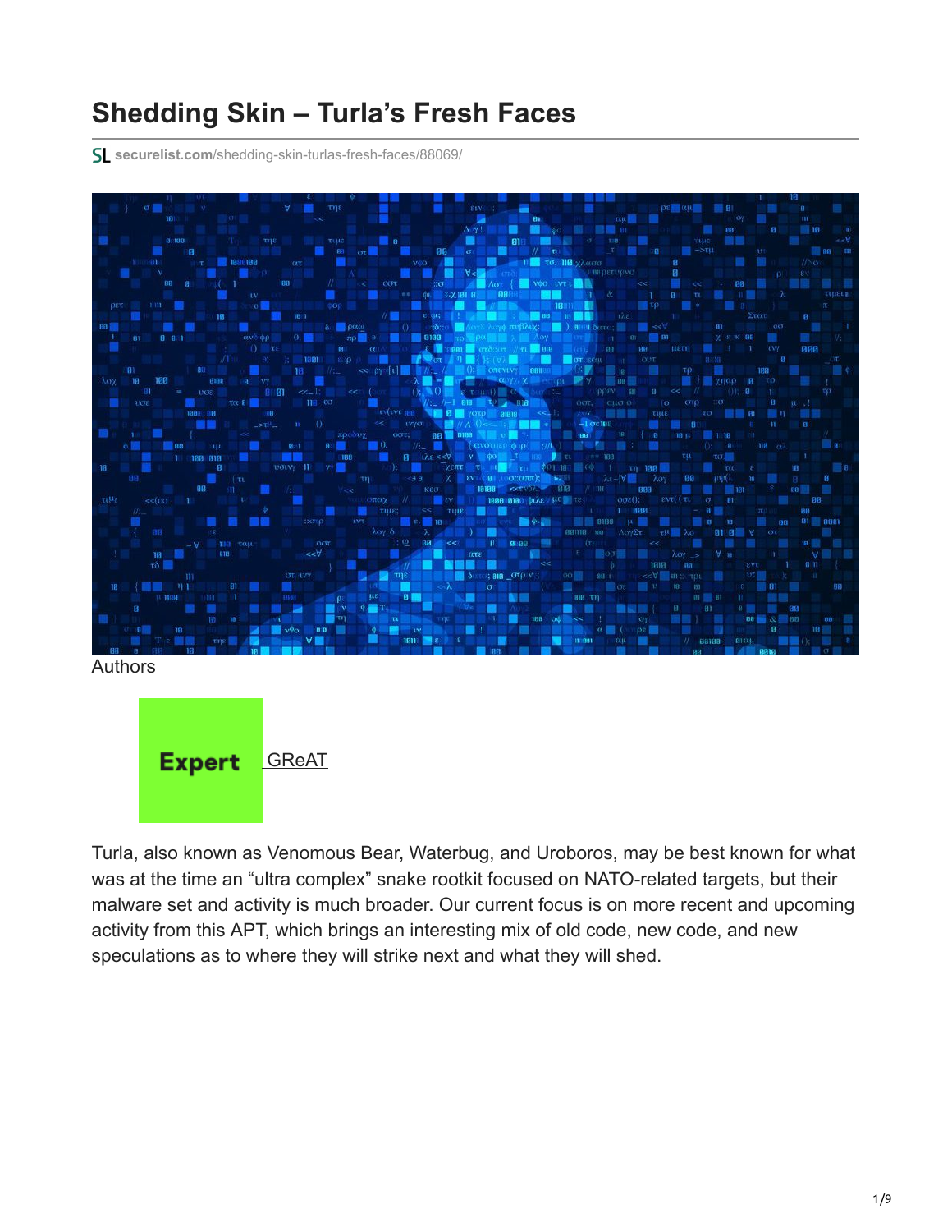# **Shedding Skin – Turla's Fresh Faces**

**securelist.com**[/shedding-skin-turlas-fresh-faces/88069/](https://securelist.com/shedding-skin-turlas-fresh-faces/88069/)



Authors



Turla, also known as Venomous Bear, Waterbug, and Uroboros, may be best known for what was at the time an "ultra complex" snake rootkit focused on NATO-related targets, but their malware set and activity is much broader. Our current focus is on more recent and upcoming activity from this APT, which brings an interesting mix of old code, new code, and new speculations as to where they will strike next and what they will shed.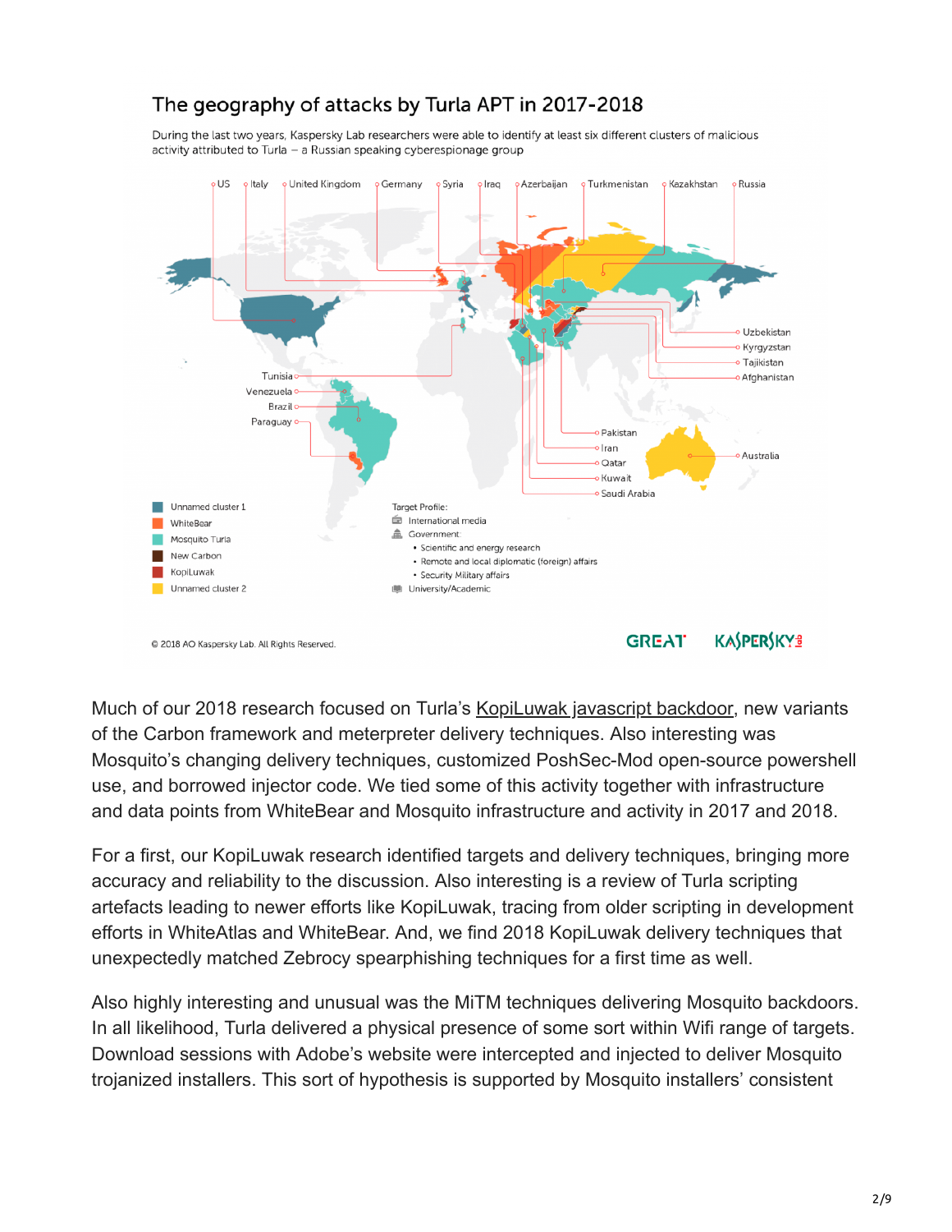

The geography of attacks by Turla APT in 2017-2018

@ 2018 AO Kaspersky Lab. All Rights Reserved.

#### **KASPERSKYS GREAT**

Much of our 2018 research focused on Turla's [KopiLuwak javascript backdoor,](https://securelist.com/kopiluwak-a-new-javascript-payload-from-turla/77429/) new variants of the Carbon framework and meterpreter delivery techniques. Also interesting was Mosquito's changing delivery techniques, customized PoshSec-Mod open-source powershell use, and borrowed injector code. We tied some of this activity together with infrastructure and data points from WhiteBear and Mosquito infrastructure and activity in 2017 and 2018.

For a first, our KopiLuwak research identified targets and delivery techniques, bringing more accuracy and reliability to the discussion. Also interesting is a review of Turla scripting artefacts leading to newer efforts like KopiLuwak, tracing from older scripting in development efforts in WhiteAtlas and WhiteBear. And, we find 2018 KopiLuwak delivery techniques that unexpectedly matched Zebrocy spearphishing techniques for a first time as well.

Also highly interesting and unusual was the MiTM techniques delivering Mosquito backdoors. In all likelihood, Turla delivered a physical presence of some sort within Wifi range of targets. Download sessions with Adobe's website were intercepted and injected to deliver Mosquito trojanized installers. This sort of hypothesis is supported by Mosquito installers' consistent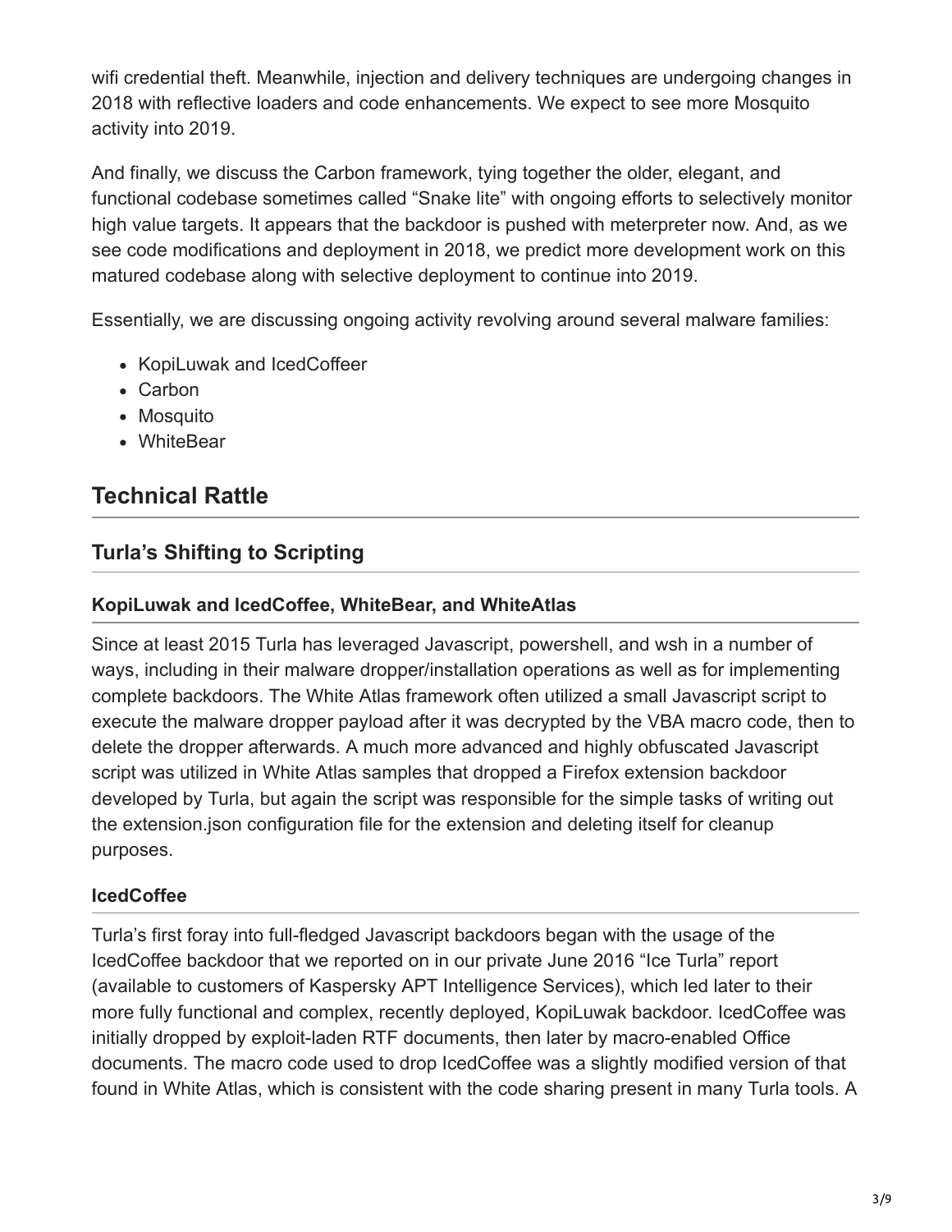wifi credential theft. Meanwhile, injection and delivery techniques are undergoing changes in 2018 with reflective loaders and code enhancements. We expect to see more Mosquito activity into 2019.

And finally, we discuss the Carbon framework, tying together the older, elegant, and functional codebase sometimes called "Snake lite" with ongoing efforts to selectively monitor high value targets. It appears that the backdoor is pushed with meterpreter now. And, as we see code modifications and deployment in 2018, we predict more development work on this matured codebase along with selective deployment to continue into 2019.

Essentially, we are discussing ongoing activity revolving around several malware families:

- KopiLuwak and IcedCoffeer
- Carbon
- Mosquito
- WhiteBear

### **Technical Rattle**

### **Turla's Shifting to Scripting**

#### **KopiLuwak and IcedCoffee, WhiteBear, and WhiteAtlas**

Since at least 2015 Turla has leveraged Javascript, powershell, and wsh in a number of ways, including in their malware dropper/installation operations as well as for implementing complete backdoors. The White Atlas framework often utilized a small Javascript script to execute the malware dropper payload after it was decrypted by the VBA macro code, then to delete the dropper afterwards. A much more advanced and highly obfuscated Javascript script was utilized in White Atlas samples that dropped a Firefox extension backdoor developed by Turla, but again the script was responsible for the simple tasks of writing out the extension.json configuration file for the extension and deleting itself for cleanup purposes.

#### **IcedCoffee**

Turla's first foray into full-fledged Javascript backdoors began with the usage of the IcedCoffee backdoor that we reported on in our private June 2016 "Ice Turla" report (available to customers of Kaspersky APT Intelligence Services), which led later to their more fully functional and complex, recently deployed, KopiLuwak backdoor. IcedCoffee was initially dropped by exploit-laden RTF documents, then later by macro-enabled Office documents. The macro code used to drop IcedCoffee was a slightly modified version of that found in White Atlas, which is consistent with the code sharing present in many Turla tools. A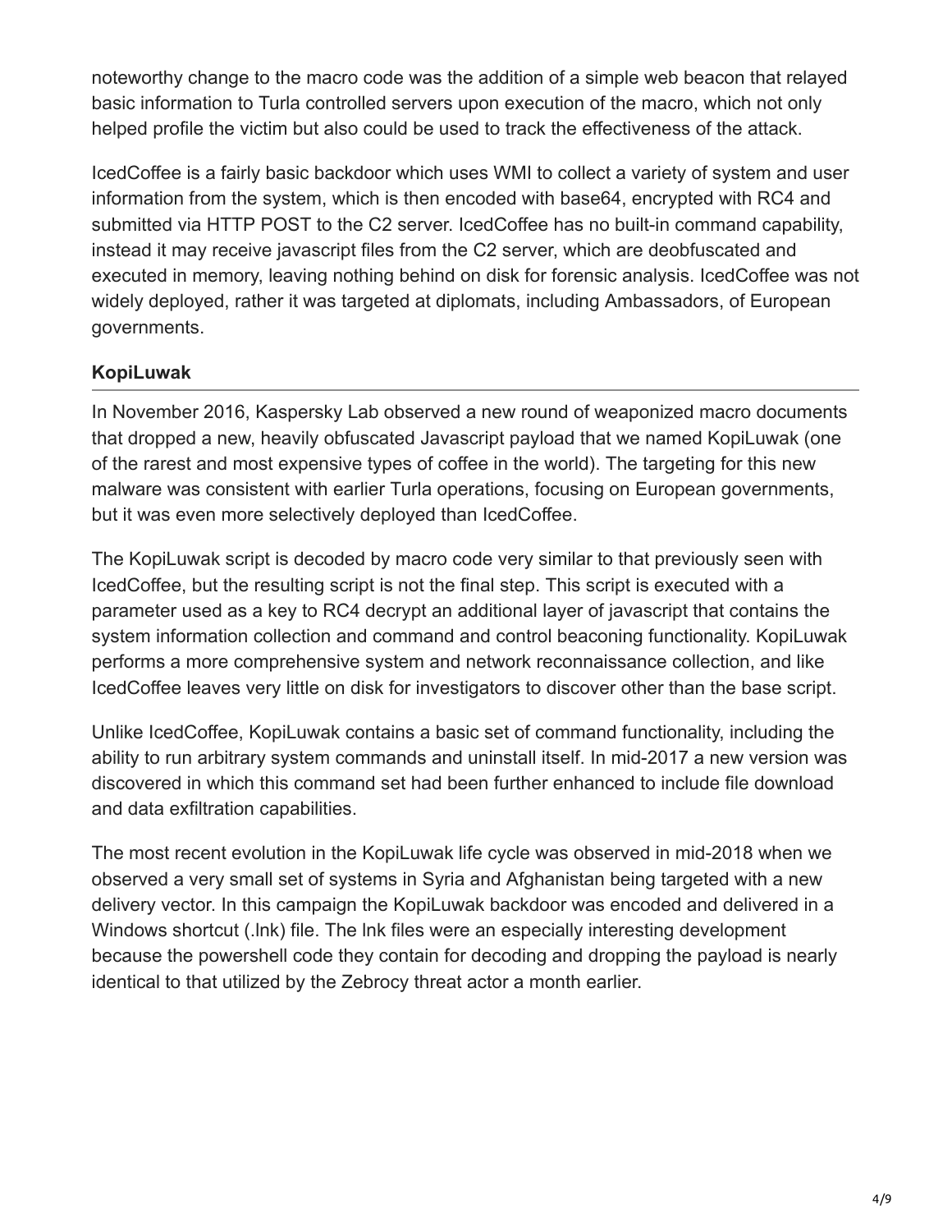noteworthy change to the macro code was the addition of a simple web beacon that relayed basic information to Turla controlled servers upon execution of the macro, which not only helped profile the victim but also could be used to track the effectiveness of the attack.

IcedCoffee is a fairly basic backdoor which uses WMI to collect a variety of system and user information from the system, which is then encoded with base64, encrypted with RC4 and submitted via HTTP POST to the C2 server. IcedCoffee has no built-in command capability, instead it may receive javascript files from the C2 server, which are deobfuscated and executed in memory, leaving nothing behind on disk for forensic analysis. IcedCoffee was not widely deployed, rather it was targeted at diplomats, including Ambassadors, of European governments.

#### **KopiLuwak**

In November 2016, Kaspersky Lab observed a new round of weaponized macro documents that dropped a new, heavily obfuscated Javascript payload that we named KopiLuwak (one of the rarest and most expensive types of coffee in the world). The targeting for this new malware was consistent with earlier Turla operations, focusing on European governments, but it was even more selectively deployed than IcedCoffee.

The KopiLuwak script is decoded by macro code very similar to that previously seen with IcedCoffee, but the resulting script is not the final step. This script is executed with a parameter used as a key to RC4 decrypt an additional layer of javascript that contains the system information collection and command and control beaconing functionality. KopiLuwak performs a more comprehensive system and network reconnaissance collection, and like IcedCoffee leaves very little on disk for investigators to discover other than the base script.

Unlike IcedCoffee, KopiLuwak contains a basic set of command functionality, including the ability to run arbitrary system commands and uninstall itself. In mid-2017 a new version was discovered in which this command set had been further enhanced to include file download and data exfiltration capabilities.

The most recent evolution in the KopiLuwak life cycle was observed in mid-2018 when we observed a very small set of systems in Syria and Afghanistan being targeted with a new delivery vector. In this campaign the KopiLuwak backdoor was encoded and delivered in a Windows shortcut (.lnk) file. The lnk files were an especially interesting development because the powershell code they contain for decoding and dropping the payload is nearly identical to that utilized by the Zebrocy threat actor a month earlier.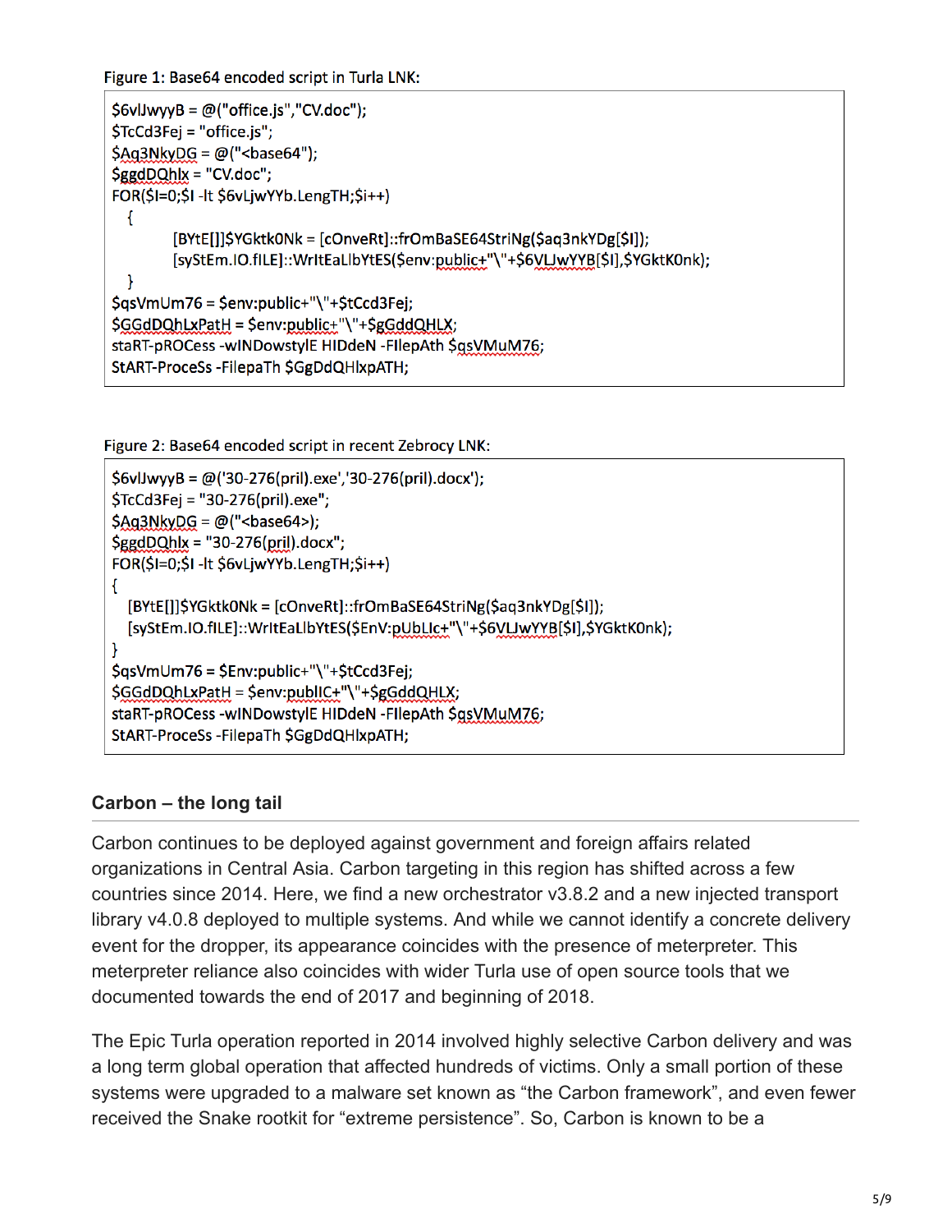Figure 1: Base64 encoded script in Turla LNK:

```
$6v1jwyyB = @('office.js", "CV.doc");$TcCd3Fej = "office.js";
$Ag3NkyDG = @ ("\text{base}64");
şgdDQhlx = "CV.doc";FOR($I=0;$I-It $6vLjwYYb.LengTH;$i++)
 \mathcal{F}[BYtE[]]$YGktk0Nk = [cOnveRt]::frOmBaSE64StriNg($aq3nkYDg[$I]);
        [syStEm.IO.fILE]::WrItEaLIbYtES($env:public+"\"+$6VLJwYYB[$I],$YGktK0nk);
 \mathcal{F}$qsVmUm76 = $env:public+"\"+$tCcd3Fej;
$GGdDQhLxPatH = $env:public+"\"+$gGddQHLX;
staRT-pROCess -wINDowstylE HIDdeN -FIlepAth $qsVMuM76;
StART-ProceSs-FilepaTh $GgDdQHlxpATH;
```
Figure 2: Base64 encoded script in recent Zebrocy LNK:

```
$6v1JwyyB = @('30-276(pril).exe','30-276(pril).docx');$TcCd3Fej = "30-276(pril).exe";
$Ag3NkyDG = @("chase64$);SggdDQhlx = "30-276(pril).docx";FOR($I=0;$I-It $6vLjwYYb.LengTH;$i++)
\left\{ \right.[BYtE[]]$YGktk0Nk = [cOnveRt]::frOmBaSE64StriNg($aq3nkYDg[$I]);
  [syStEm.IO.fILE]::WrItEaLIbYtES($EnV:pUbLIc+"\"+$6VLJwYYB[$I],$YGktK0nk);
ł
$qsVmUm76 = $Env:public+"\"+$tCcd3Fej;
$GGdDQhLxPatH = $env:publIC+"\"+$gGddQHLX;
staRT-pROCess -wINDowstylE HIDdeN -FIlepAth $qsVMuM76;
StART-ProceSs-FilepaTh $GgDdQHlxpATH;
```
#### **Carbon – the long tail**

Carbon continues to be deployed against government and foreign affairs related organizations in Central Asia. Carbon targeting in this region has shifted across a few countries since 2014. Here, we find a new orchestrator v3.8.2 and a new injected transport library v4.0.8 deployed to multiple systems. And while we cannot identify a concrete delivery event for the dropper, its appearance coincides with the presence of meterpreter. This meterpreter reliance also coincides with wider Turla use of open source tools that we documented towards the end of 2017 and beginning of 2018.

The Epic Turla operation reported in 2014 involved highly selective Carbon delivery and was a long term global operation that affected hundreds of victims. Only a small portion of these systems were upgraded to a malware set known as "the Carbon framework", and even fewer received the Snake rootkit for "extreme persistence". So, Carbon is known to be a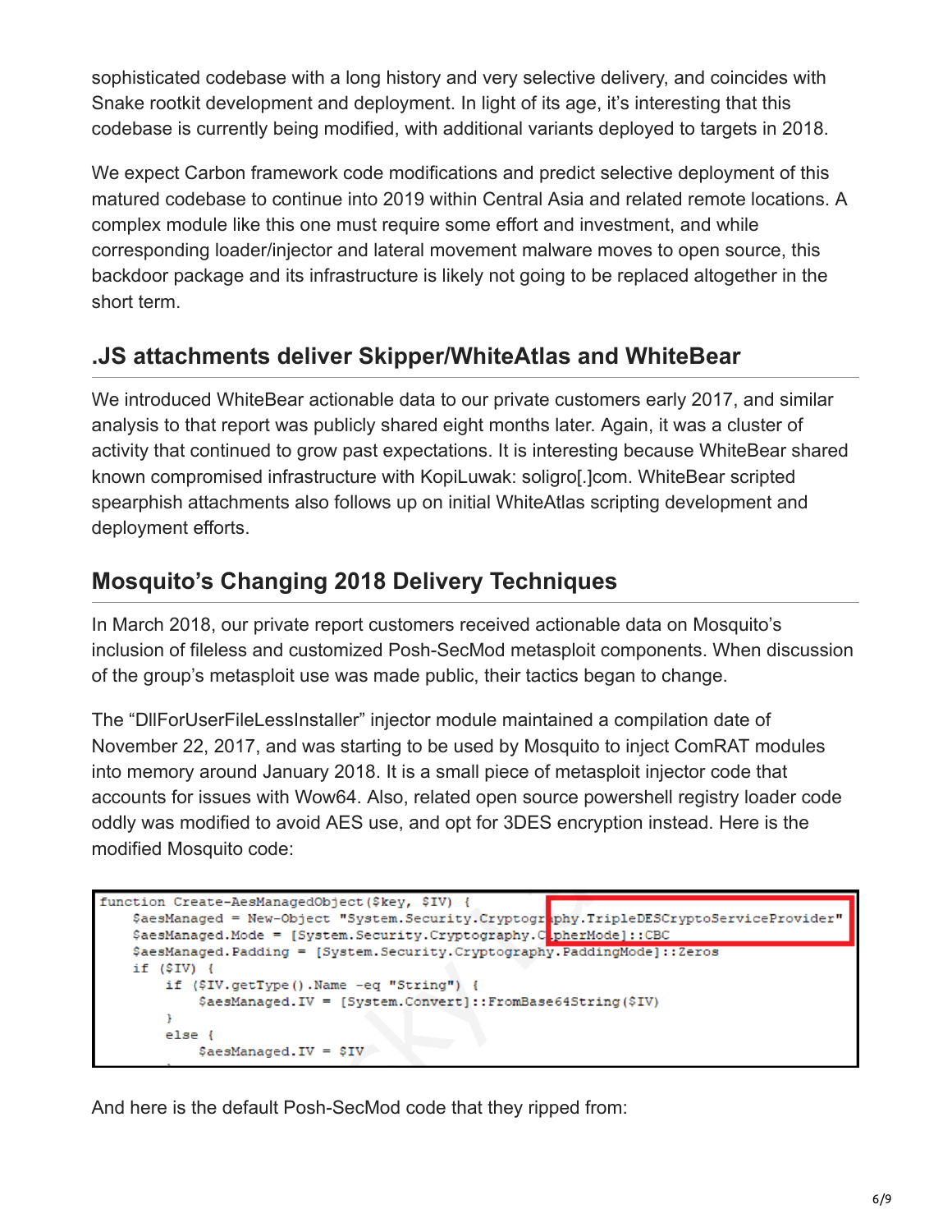sophisticated codebase with a long history and very selective delivery, and coincides with Snake rootkit development and deployment. In light of its age, it's interesting that this codebase is currently being modified, with additional variants deployed to targets in 2018.

We expect Carbon framework code modifications and predict selective deployment of this matured codebase to continue into 2019 within Central Asia and related remote locations. A complex module like this one must require some effort and investment, and while corresponding loader/injector and lateral movement malware moves to open source, this backdoor package and its infrastructure is likely not going to be replaced altogether in the short term.

### **.JS attachments deliver Skipper/WhiteAtlas and WhiteBear**

We introduced WhiteBear actionable data to our private customers early 2017, and similar analysis to that report was publicly shared eight months later. Again, it was a cluster of activity that continued to grow past expectations. It is interesting because WhiteBear shared known compromised infrastructure with KopiLuwak: soligro[.]com. WhiteBear scripted spearphish attachments also follows up on initial WhiteAtlas scripting development and deployment efforts.

## **Mosquito's Changing 2018 Delivery Techniques**

In March 2018, our private report customers received actionable data on Mosquito's inclusion of fileless and customized Posh-SecMod metasploit components. When discussion of the group's metasploit use was made public, their tactics began to change.

The "DllForUserFileLessInstaller" injector module maintained a compilation date of November 22, 2017, and was starting to be used by Mosquito to inject ComRAT modules into memory around January 2018. It is a small piece of metasploit injector code that accounts for issues with Wow64. Also, related open source powershell registry loader code oddly was modified to avoid AES use, and opt for 3DES encryption instead. Here is the modified Mosquito code:

```
function Create-AesManagedObject ($key, $IV) {
    $aesManaged = New-Object "System.Security.Cryptogr<mark>.phy.TripleDESCryptoServiceProvider"</mark><br>$aesManaged.Mode = [System.Security.Cryptography.C<mark>.pherMode]::CBC</mark>
    $aesManaged.Padding = [System.Security.Cryptography.PaddingMode] :: Zeros
    if ($IV) {
          if ($IV.getType().Name -eq "String") {
               $aesManaged.IV = [System.Convert]::FromBase64String($IV)
          -1
          else {
               $aesManagerd.IV = $IV$
```
And here is the default Posh-SecMod code that they ripped from: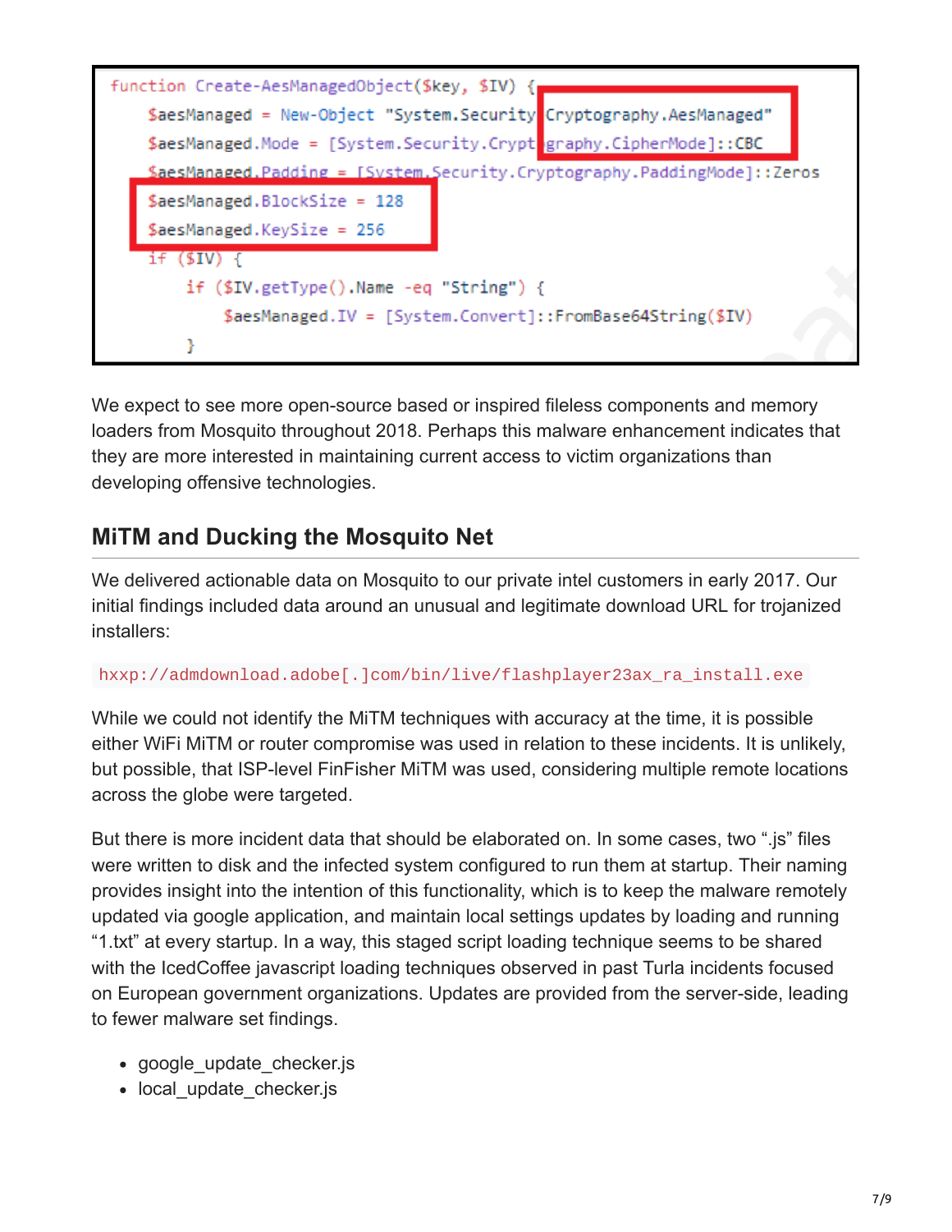

We expect to see more open-source based or inspired fileless components and memory loaders from Mosquito throughout 2018. Perhaps this malware enhancement indicates that they are more interested in maintaining current access to victim organizations than developing offensive technologies.

### **MiTM and Ducking the Mosquito Net**

We delivered actionable data on Mosquito to our private intel customers in early 2017. Our initial findings included data around an unusual and legitimate download URL for trojanized installers:

#### hxxp://admdownload.adobe[.]com/bin/live/flashplayer23ax\_ra\_install.exe

While we could not identify the MiTM techniques with accuracy at the time, it is possible either WiFi MiTM or router compromise was used in relation to these incidents. It is unlikely, but possible, that ISP-level FinFisher MiTM was used, considering multiple remote locations across the globe were targeted.

But there is more incident data that should be elaborated on. In some cases, two ".js" files were written to disk and the infected system configured to run them at startup. Their naming provides insight into the intention of this functionality, which is to keep the malware remotely updated via google application, and maintain local settings updates by loading and running "1.txt" at every startup. In a way, this staged script loading technique seems to be shared with the IcedCoffee javascript loading techniques observed in past Turla incidents focused on European government organizations. Updates are provided from the server-side, leading to fewer malware set findings.

- google update checker.js
- local update checker.js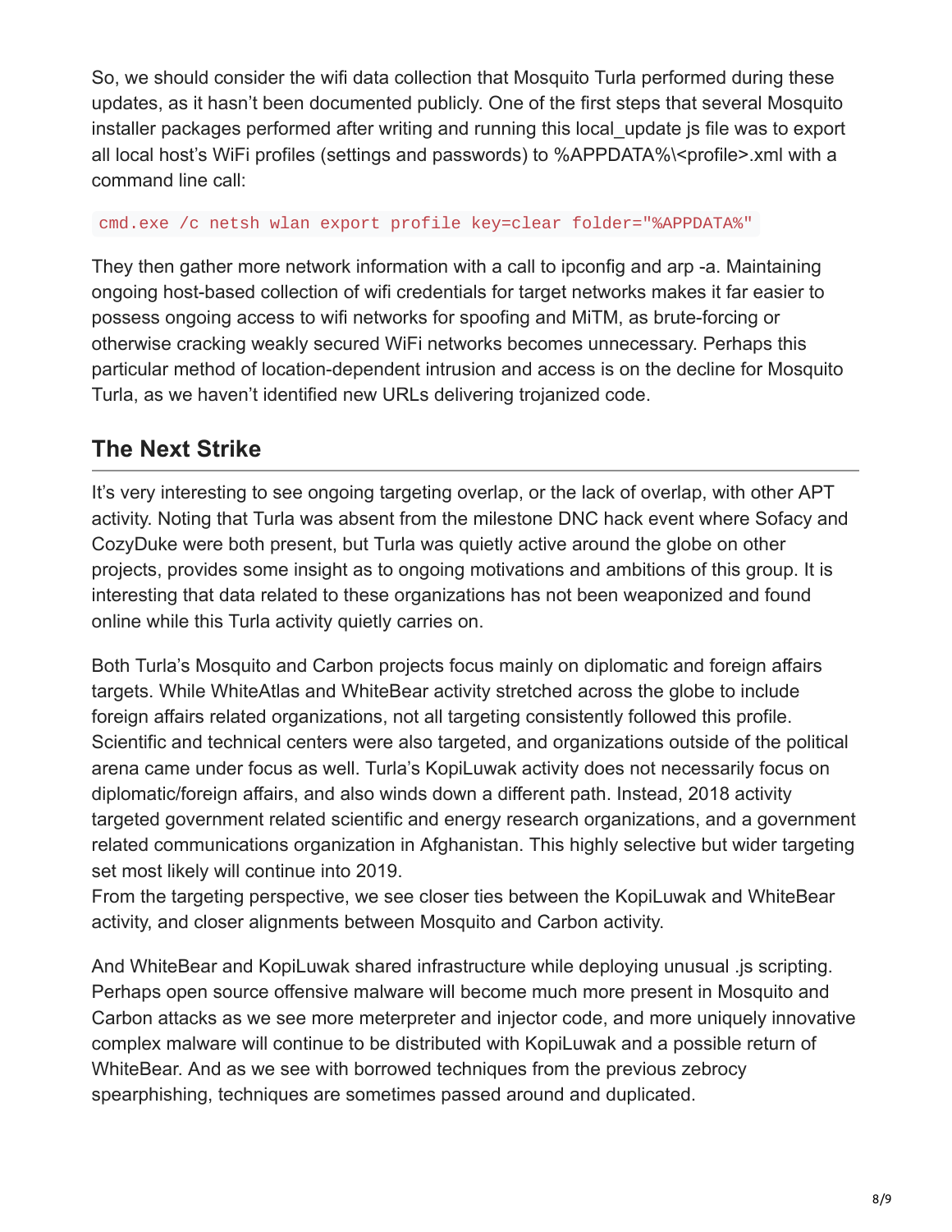So, we should consider the wifi data collection that Mosquito Turla performed during these updates, as it hasn't been documented publicly. One of the first steps that several Mosquito installer packages performed after writing and running this local update is file was to export all local host's WiFi profiles (settings and passwords) to %APPDATA%\<profile>.xml with a command line call:

#### cmd.exe /c netsh wlan export profile key=clear folder="%APPDATA%"

They then gather more network information with a call to ipconfig and arp -a. Maintaining ongoing host-based collection of wifi credentials for target networks makes it far easier to possess ongoing access to wifi networks for spoofing and MiTM, as brute-forcing or otherwise cracking weakly secured WiFi networks becomes unnecessary. Perhaps this particular method of location-dependent intrusion and access is on the decline for Mosquito Turla, as we haven't identified new URLs delivering trojanized code.

### **The Next Strike**

It's very interesting to see ongoing targeting overlap, or the lack of overlap, with other APT activity. Noting that Turla was absent from the milestone DNC hack event where Sofacy and CozyDuke were both present, but Turla was quietly active around the globe on other projects, provides some insight as to ongoing motivations and ambitions of this group. It is interesting that data related to these organizations has not been weaponized and found online while this Turla activity quietly carries on.

Both Turla's Mosquito and Carbon projects focus mainly on diplomatic and foreign affairs targets. While WhiteAtlas and WhiteBear activity stretched across the globe to include foreign affairs related organizations, not all targeting consistently followed this profile. Scientific and technical centers were also targeted, and organizations outside of the political arena came under focus as well. Turla's KopiLuwak activity does not necessarily focus on diplomatic/foreign affairs, and also winds down a different path. Instead, 2018 activity targeted government related scientific and energy research organizations, and a government related communications organization in Afghanistan. This highly selective but wider targeting set most likely will continue into 2019.

From the targeting perspective, we see closer ties between the KopiLuwak and WhiteBear activity, and closer alignments between Mosquito and Carbon activity.

And WhiteBear and KopiLuwak shared infrastructure while deploying unusual .js scripting. Perhaps open source offensive malware will become much more present in Mosquito and Carbon attacks as we see more meterpreter and injector code, and more uniquely innovative complex malware will continue to be distributed with KopiLuwak and a possible return of WhiteBear. And as we see with borrowed techniques from the previous zebrocy spearphishing, techniques are sometimes passed around and duplicated.